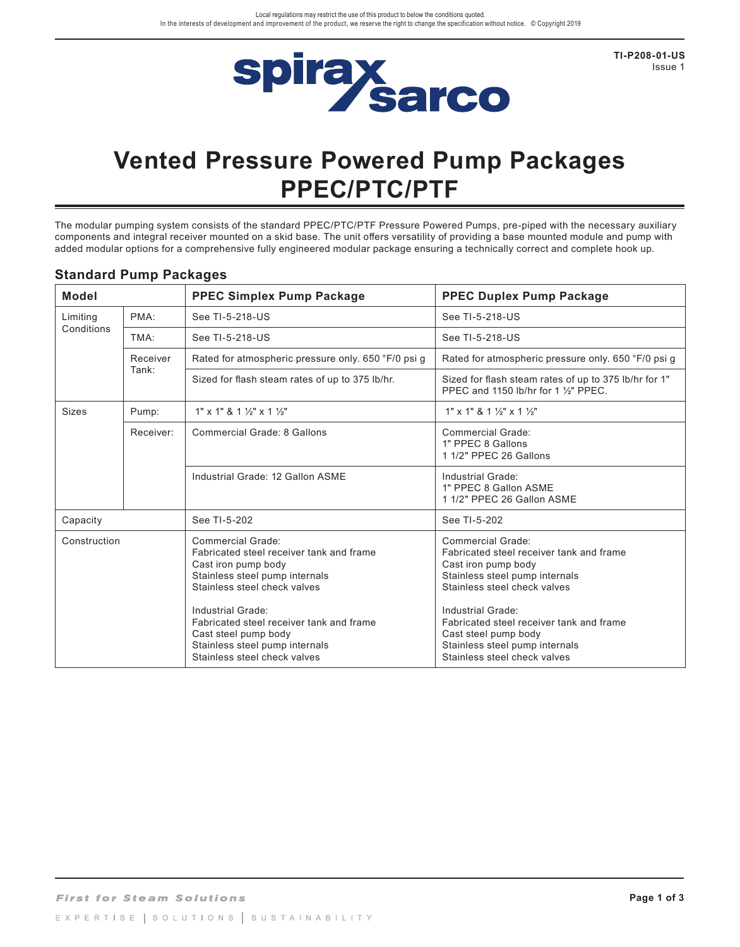

**TI-P208-01-US** Issue 1

# **Vented Pressure Powered Pump Packages PPEC/PTC/PTF**

The modular pumping system consists of the standard PPEC/PTC/PTF Pressure Powered Pumps, pre-piped with the necessary auxiliary components and integral receiver mounted on a skid base. The unit offers versatility of providing a base mounted module and pump with added modular options for a comprehensive fully engineered modular package ensuring a technically correct and complete hook up.

| <b>Model</b>           |                   | <b>PPEC Simplex Pump Package</b>                                                                                                                                                                                                                                                                                  | <b>PPEC Duplex Pump Package</b>                                                                                                                                                                                                                                                                                   |
|------------------------|-------------------|-------------------------------------------------------------------------------------------------------------------------------------------------------------------------------------------------------------------------------------------------------------------------------------------------------------------|-------------------------------------------------------------------------------------------------------------------------------------------------------------------------------------------------------------------------------------------------------------------------------------------------------------------|
| Limiting<br>Conditions | PMA:              | See TI-5-218-US                                                                                                                                                                                                                                                                                                   | See TI-5-218-US                                                                                                                                                                                                                                                                                                   |
|                        | TMA <sup>.</sup>  | See TI-5-218-US                                                                                                                                                                                                                                                                                                   | See TI-5-218-US                                                                                                                                                                                                                                                                                                   |
|                        | Receiver<br>Tank: | Rated for atmospheric pressure only. 650 °F/0 psi g                                                                                                                                                                                                                                                               | Rated for atmospheric pressure only. 650 °F/0 psi g                                                                                                                                                                                                                                                               |
|                        |                   | Sized for flash steam rates of up to 375 lb/hr.                                                                                                                                                                                                                                                                   | Sized for flash steam rates of up to 375 lb/hr for 1"<br>PPEC and 1150 lb/hr for 1 1/ <sub>2</sub> " PPEC.                                                                                                                                                                                                        |
| <b>Sizes</b>           | Pump:             | $1"$ x 1" & 1 $\frac{1}{2}$ " x 1 $\frac{1}{2}$ "                                                                                                                                                                                                                                                                 | $1"$ x 1" & 1 $\frac{1}{2}$ " x 1 $\frac{1}{2}$ "                                                                                                                                                                                                                                                                 |
|                        | Receiver:         | Commercial Grade: 8 Gallons                                                                                                                                                                                                                                                                                       | Commercial Grade:<br>1" PPEC 8 Gallons<br>1 1/2" PPEC 26 Gallons                                                                                                                                                                                                                                                  |
|                        |                   | Industrial Grade: 12 Gallon ASME                                                                                                                                                                                                                                                                                  | Industrial Grade:<br>1" PPEC 8 Gallon ASME<br>1 1/2" PPEC 26 Gallon ASME                                                                                                                                                                                                                                          |
| Capacity               |                   | See TI-5-202                                                                                                                                                                                                                                                                                                      | See TI-5-202                                                                                                                                                                                                                                                                                                      |
| Construction           |                   | Commercial Grade:<br>Fabricated steel receiver tank and frame<br>Cast iron pump body<br>Stainless steel pump internals<br>Stainless steel check valves<br>Industrial Grade:<br>Fabricated steel receiver tank and frame<br>Cast steel pump body<br>Stainless steel pump internals<br>Stainless steel check valves | Commercial Grade:<br>Fabricated steel receiver tank and frame<br>Cast iron pump body<br>Stainless steel pump internals<br>Stainless steel check valves<br>Industrial Grade:<br>Fabricated steel receiver tank and frame<br>Cast steel pump body<br>Stainless steel pump internals<br>Stainless steel check valves |

#### **Standard Pump Packages**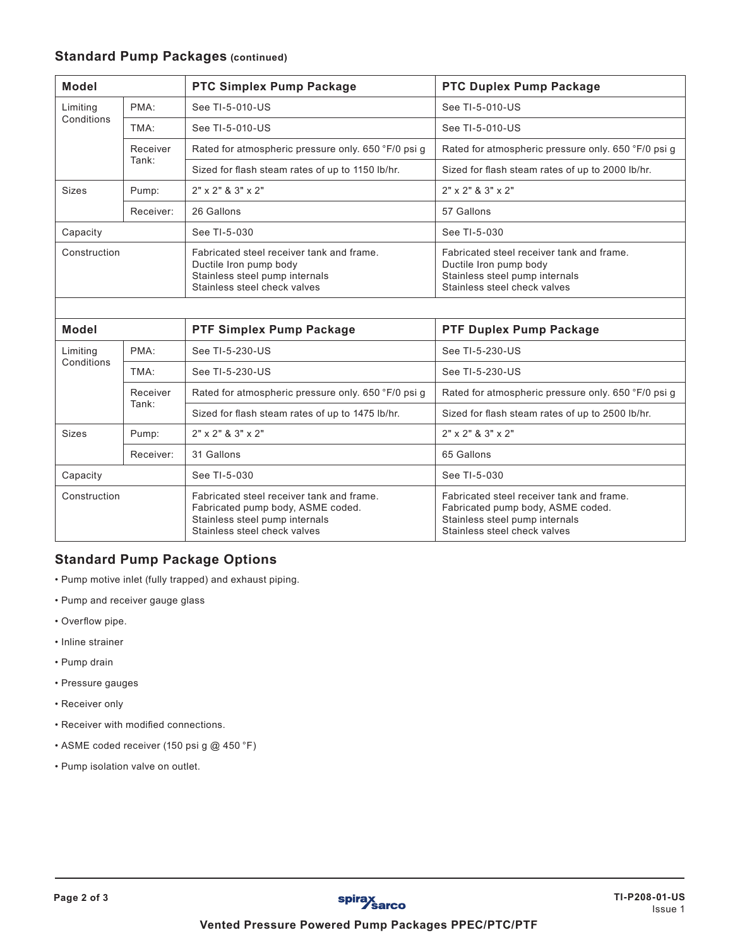#### **Standard Pump Packages (continued)**

| <b>Model</b>           |                   | PTC Simplex Pump Package                                                                                                              | <b>PTC Duplex Pump Package</b>                                                                                                        |
|------------------------|-------------------|---------------------------------------------------------------------------------------------------------------------------------------|---------------------------------------------------------------------------------------------------------------------------------------|
| Limiting<br>Conditions | PMA:              | See TI-5-010-US                                                                                                                       | See TI-5-010-US                                                                                                                       |
|                        | TMA:              | See TI-5-010-US                                                                                                                       | See TI-5-010-US                                                                                                                       |
|                        | Receiver<br>Tank: | Rated for atmospheric pressure only. 650 °F/0 psi g                                                                                   | Rated for atmospheric pressure only. 650 °F/0 psi g                                                                                   |
|                        |                   | Sized for flash steam rates of up to 1150 lb/hr.                                                                                      | Sized for flash steam rates of up to 2000 lb/hr.                                                                                      |
| <b>Sizes</b>           | Pump:             | $2" \times 2"$ & $3" \times 2"$                                                                                                       | $2" \times 2"$ & $3" \times 2"$                                                                                                       |
|                        | Receiver:         | 26 Gallons                                                                                                                            | 57 Gallons                                                                                                                            |
| Capacity               |                   | See TI-5-030                                                                                                                          | See TI-5-030                                                                                                                          |
| Construction           |                   | Fabricated steel receiver tank and frame.<br>Ductile Iron pump body<br>Stainless steel pump internals<br>Stainless steel check valves | Fabricated steel receiver tank and frame.<br>Ductile Iron pump body<br>Stainless steel pump internals<br>Stainless steel check valves |
|                        |                   |                                                                                                                                       |                                                                                                                                       |
| <b>Model</b>           |                   | PTF Simplex Pump Package                                                                                                              | PTF Duplex Pump Package                                                                                                               |

| Model                  |                   | <b>PTF Simplex Pump Package</b>                                                                                                                  | <b>PTF Duplex Pump Package</b>                                                                                                                   |
|------------------------|-------------------|--------------------------------------------------------------------------------------------------------------------------------------------------|--------------------------------------------------------------------------------------------------------------------------------------------------|
| Limiting<br>Conditions | PMA:              | See TI-5-230-US                                                                                                                                  | See TI-5-230-US                                                                                                                                  |
|                        | TMA:              | See TI-5-230-US                                                                                                                                  | See TI-5-230-US                                                                                                                                  |
|                        | Receiver<br>Tank: | Rated for atmospheric pressure only. 650 °F/0 psi q                                                                                              | Rated for atmospheric pressure only. 650 °F/0 psi q                                                                                              |
|                        |                   | Sized for flash steam rates of up to 1475 lb/hr.                                                                                                 | Sized for flash steam rates of up to 2500 lb/hr.                                                                                                 |
| <b>Sizes</b>           | Pump:             | $2" \times 2"$ & $3" \times 2"$                                                                                                                  | $2" \times 2"$ & $3" \times 2"$                                                                                                                  |
|                        | Receiver:         | 31 Gallons                                                                                                                                       | 65 Gallons                                                                                                                                       |
| Capacity               |                   | See TI-5-030                                                                                                                                     | See TI-5-030                                                                                                                                     |
| Construction           |                   | Fabricated steel receiver tank and frame.<br>Fabricated pump body, ASME coded.<br>Stainless steel pump internals<br>Stainless steel check valves | Fabricated steel receiver tank and frame.<br>Fabricated pump body, ASME coded.<br>Stainless steel pump internals<br>Stainless steel check valves |

### **Standard Pump Package Options**

- Pump motive inlet (fully trapped) and exhaust piping.
- Pump and receiver gauge glass
- Overflow pipe.
- Inline strainer
- Pump drain
- Pressure gauges
- Receiver only
- Receiver with modified connections.
- ASME coded receiver (150 psi g @ 450 °F)
- Pump isolation valve on outlet.